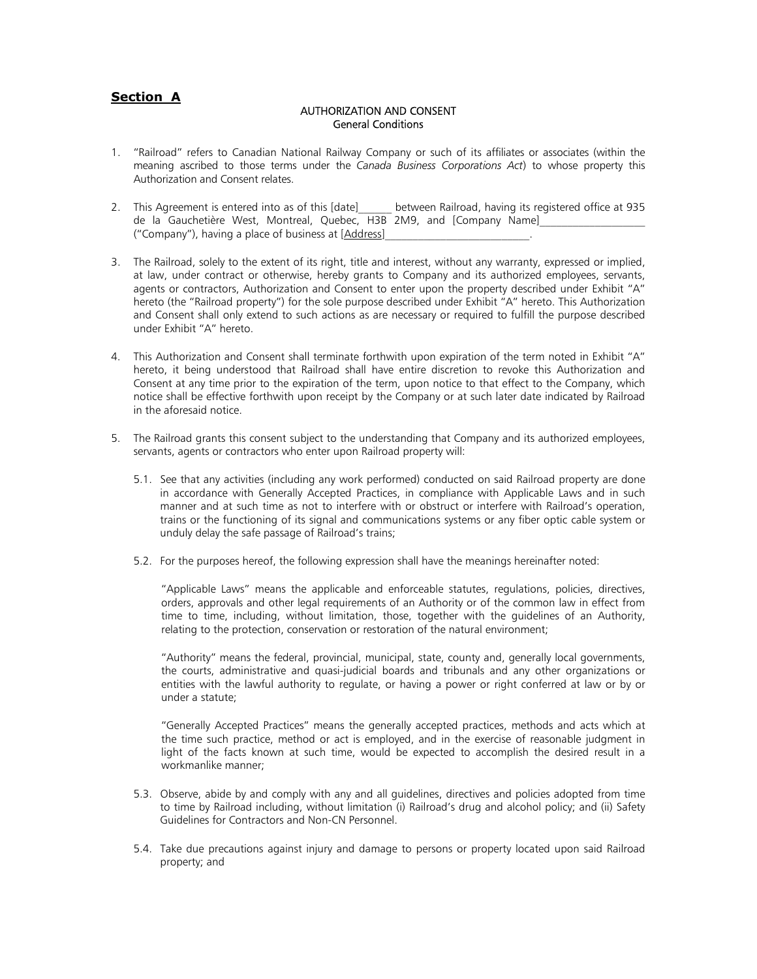# **Section A**

### AUTHORIZATION AND CONSENT General Conditions

- 1. "Railroad" refers to Canadian National Railway Company or such of its affiliates or associates (within the meaning ascribed to those terms under the *Canada Business Corporations Act*) to whose property this Authorization and Consent relates.
- 2. This Agreement is entered into as of this [date] between Railroad, having its registered office at 935 de la Gauchetière West, Montreal, Quebec, H3B 2M9, and [Company Name] ("Company"), having a place of business at [Address]\_\_\_\_\_\_\_\_\_\_\_\_\_\_\_\_\_\_\_\_\_\_\_\_\_\_.
- 3. The Railroad, solely to the extent of its right, title and interest, without any warranty, expressed or implied, at law, under contract or otherwise, hereby grants to Company and its authorized employees, servants, agents or contractors, Authorization and Consent to enter upon the property described under Exhibit "A" hereto (the "Railroad property") for the sole purpose described under Exhibit "A" hereto. This Authorization and Consent shall only extend to such actions as are necessary or required to fulfill the purpose described under Exhibit "A" hereto.
- 4. This Authorization and Consent shall terminate forthwith upon expiration of the term noted in Exhibit "A" hereto, it being understood that Railroad shall have entire discretion to revoke this Authorization and Consent at any time prior to the expiration of the term, upon notice to that effect to the Company, which notice shall be effective forthwith upon receipt by the Company or at such later date indicated by Railroad in the aforesaid notice.
- 5. The Railroad grants this consent subject to the understanding that Company and its authorized employees, servants, agents or contractors who enter upon Railroad property will:
	- 5.1. See that any activities (including any work performed) conducted on said Railroad property are done in accordance with Generally Accepted Practices, in compliance with Applicable Laws and in such manner and at such time as not to interfere with or obstruct or interfere with Railroad's operation, trains or the functioning of its signal and communications systems or any fiber optic cable system or unduly delay the safe passage of Railroad's trains;
	- 5.2. For the purposes hereof, the following expression shall have the meanings hereinafter noted:

"Applicable Laws" means the applicable and enforceable statutes, regulations, policies, directives, orders, approvals and other legal requirements of an Authority or of the common law in effect from time to time, including, without limitation, those, together with the guidelines of an Authority, relating to the protection, conservation or restoration of the natural environment;

"Authority" means the federal, provincial, municipal, state, county and, generally local governments, the courts, administrative and quasi-judicial boards and tribunals and any other organizations or entities with the lawful authority to regulate, or having a power or right conferred at law or by or under a statute;

"Generally Accepted Practices" means the generally accepted practices, methods and acts which at the time such practice, method or act is employed, and in the exercise of reasonable judgment in light of the facts known at such time, would be expected to accomplish the desired result in a workmanlike manner;

- 5.3. Observe, abide by and comply with any and all guidelines, directives and policies adopted from time to time by Railroad including, without limitation (i) Railroad's drug and alcohol policy; and (ii) Safety Guidelines for Contractors and Non-CN Personnel.
- 5.4. Take due precautions against injury and damage to persons or property located upon said Railroad property; and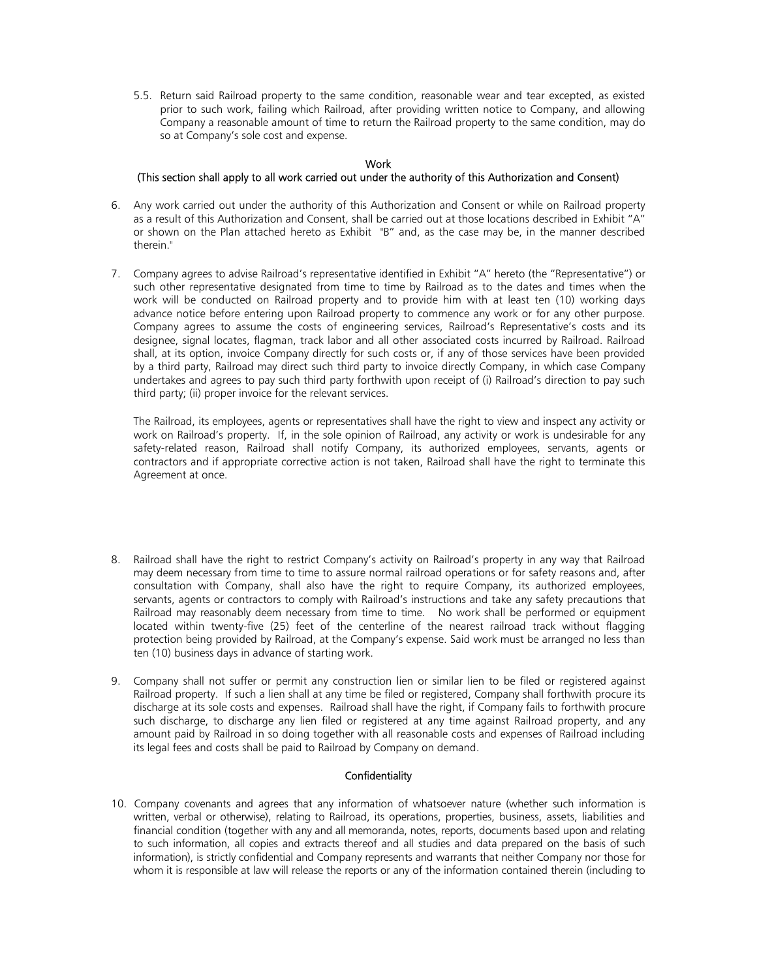5.5. Return said Railroad property to the same condition, reasonable wear and tear excepted, as existed prior to such work, failing which Railroad, after providing written notice to Company, and allowing Company a reasonable amount of time to return the Railroad property to the same condition, may do so at Company's sole cost and expense.

## **Work**

# (This section shall apply to all work carried out under the authority of this Authorization and Consent)

- 6. Any work carried out under the authority of this Authorization and Consent or while on Railroad property as a result of this Authorization and Consent, shall be carried out at those locations described in Exhibit "A" or shown on the Plan attached hereto as Exhibit "B" and, as the case may be, in the manner described therein."
- 7. Company agrees to advise Railroad's representative identified in Exhibit "A" hereto (the "Representative") or such other representative designated from time to time by Railroad as to the dates and times when the work will be conducted on Railroad property and to provide him with at least ten (10) working days advance notice before entering upon Railroad property to commence any work or for any other purpose. Company agrees to assume the costs of engineering services, Railroad's Representative's costs and its designee, signal locates, flagman, track labor and all other associated costs incurred by Railroad. Railroad shall, at its option, invoice Company directly for such costs or, if any of those services have been provided by a third party, Railroad may direct such third party to invoice directly Company, in which case Company undertakes and agrees to pay such third party forthwith upon receipt of (i) Railroad's direction to pay such third party; (ii) proper invoice for the relevant services.

The Railroad, its employees, agents or representatives shall have the right to view and inspect any activity or work on Railroad's property. If, in the sole opinion of Railroad, any activity or work is undesirable for any safety-related reason, Railroad shall notify Company, its authorized employees, servants, agents or contractors and if appropriate corrective action is not taken, Railroad shall have the right to terminate this Agreement at once.

- 8. Railroad shall have the right to restrict Company's activity on Railroad's property in any way that Railroad may deem necessary from time to time to assure normal railroad operations or for safety reasons and, after consultation with Company, shall also have the right to require Company, its authorized employees, servants, agents or contractors to comply with Railroad's instructions and take any safety precautions that Railroad may reasonably deem necessary from time to time. No work shall be performed or equipment located within twenty-five (25) feet of the centerline of the nearest railroad track without flagging protection being provided by Railroad, at the Company's expense. Said work must be arranged no less than ten (10) business days in advance of starting work.
- 9. Company shall not suffer or permit any construction lien or similar lien to be filed or registered against Railroad property. If such a lien shall at any time be filed or registered, Company shall forthwith procure its discharge at its sole costs and expenses. Railroad shall have the right, if Company fails to forthwith procure such discharge, to discharge any lien filed or registered at any time against Railroad property, and any amount paid by Railroad in so doing together with all reasonable costs and expenses of Railroad including its legal fees and costs shall be paid to Railroad by Company on demand.

# **Confidentiality**

10. Company covenants and agrees that any information of whatsoever nature (whether such information is written, verbal or otherwise), relating to Railroad, its operations, properties, business, assets, liabilities and financial condition (together with any and all memoranda, notes, reports, documents based upon and relating to such information, all copies and extracts thereof and all studies and data prepared on the basis of such information), is strictly confidential and Company represents and warrants that neither Company nor those for whom it is responsible at law will release the reports or any of the information contained therein (including to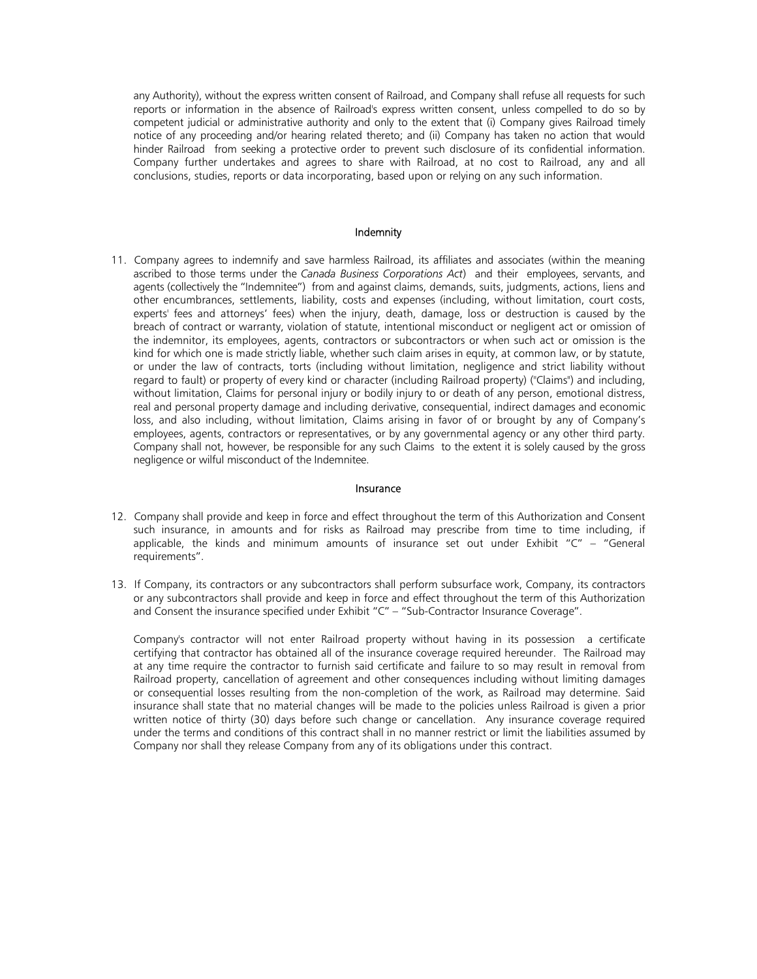any Authority), without the express written consent of Railroad, and Company shall refuse all requests for such reports or information in the absence of Railroad's express written consent, unless compelled to do so by competent judicial or administrative authority and only to the extent that (i) Company gives Railroad timely notice of any proceeding and/or hearing related thereto; and (ii) Company has taken no action that would hinder Railroad from seeking a protective order to prevent such disclosure of its confidential information. Company further undertakes and agrees to share with Railroad, at no cost to Railroad, any and all conclusions, studies, reports or data incorporating, based upon or relying on any such information.

#### Indemnity

11. Company agrees to indemnify and save harmless Railroad, its affiliates and associates (within the meaning ascribed to those terms under the *Canada Business Corporations Act*) and their employees, servants, and agents (collectively the "Indemnitee") from and against claims, demands, suits, judgments, actions, liens and other encumbrances, settlements, liability, costs and expenses (including, without limitation, court costs, experts' fees and attorneys' fees) when the injury, death, damage, loss or destruction is caused by the breach of contract or warranty, violation of statute, intentional misconduct or negligent act or omission of the indemnitor, its employees, agents, contractors or subcontractors or when such act or omission is the kind for which one is made strictly liable, whether such claim arises in equity, at common law, or by statute, or under the law of contracts, torts (including without limitation, negligence and strict liability without regard to fault) or property of every kind or character (including Railroad property) ("Claims") and including, without limitation, Claims for personal injury or bodily injury to or death of any person, emotional distress, real and personal property damage and including derivative, consequential, indirect damages and economic loss, and also including, without limitation, Claims arising in favor of or brought by any of Company's employees, agents, contractors or representatives, or by any governmental agency or any other third party. Company shall not, however, be responsible for any such Claims to the extent it is solely caused by the gross negligence or wilful misconduct of the Indemnitee.

#### Insurance

- 12. Company shall provide and keep in force and effect throughout the term of this Authorization and Consent such insurance, in amounts and for risks as Railroad may prescribe from time to time including, if applicable, the kinds and minimum amounts of insurance set out under Exhibit " $C'' -$  "General requirements".
- 13. If Company, its contractors or any subcontractors shall perform subsurface work, Company, its contractors or any subcontractors shall provide and keep in force and effect throughout the term of this Authorization and Consent the insurance specified under Exhibit "C" – "Sub-Contractor Insurance Coverage".

Company's contractor will not enter Railroad property without having in its possession a certificate certifying that contractor has obtained all of the insurance coverage required hereunder. The Railroad may at any time require the contractor to furnish said certificate and failure to so may result in removal from Railroad property, cancellation of agreement and other consequences including without limiting damages or consequential losses resulting from the non-completion of the work, as Railroad may determine. Said insurance shall state that no material changes will be made to the policies unless Railroad is given a prior written notice of thirty (30) days before such change or cancellation. Any insurance coverage required under the terms and conditions of this contract shall in no manner restrict or limit the liabilities assumed by Company nor shall they release Company from any of its obligations under this contract.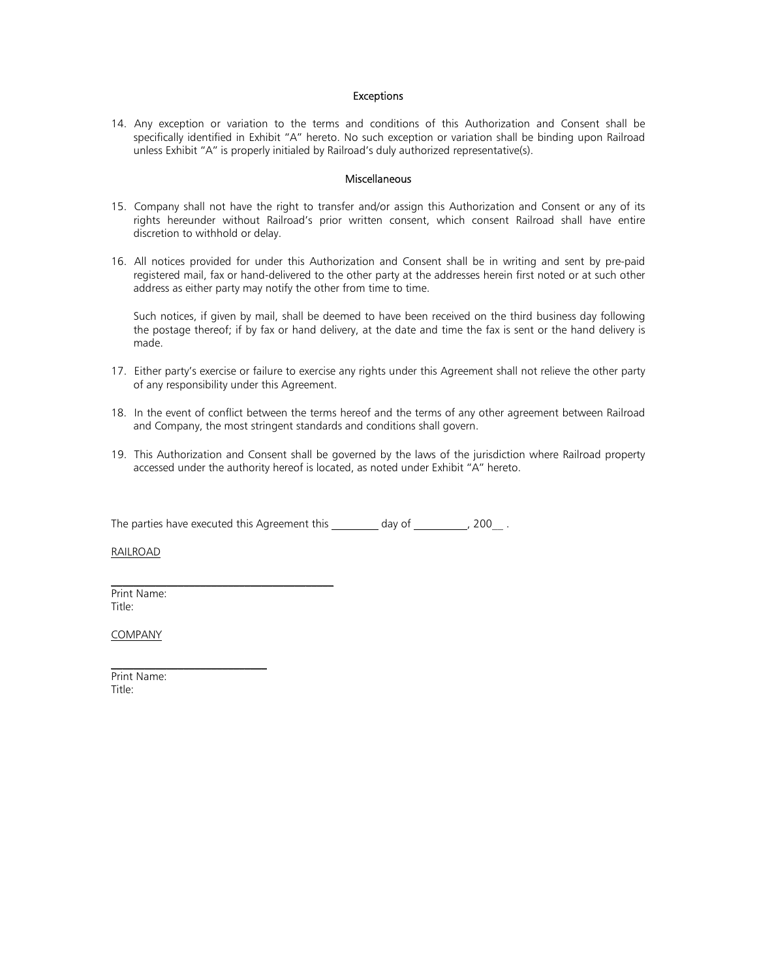#### Exceptions

14. Any exception or variation to the terms and conditions of this Authorization and Consent shall be specifically identified in Exhibit "A" hereto. No such exception or variation shall be binding upon Railroad unless Exhibit "A" is properly initialed by Railroad's duly authorized representative(s).

#### **Miscellaneous**

- 15. Company shall not have the right to transfer and/or assign this Authorization and Consent or any of its rights hereunder without Railroad's prior written consent, which consent Railroad shall have entire discretion to withhold or delay.
- 16. All notices provided for under this Authorization and Consent shall be in writing and sent by pre-paid registered mail, fax or hand-delivered to the other party at the addresses herein first noted or at such other address as either party may notify the other from time to time.

Such notices, if given by mail, shall be deemed to have been received on the third business day following the postage thereof; if by fax or hand delivery, at the date and time the fax is sent or the hand delivery is made.

- 17. Either party's exercise or failure to exercise any rights under this Agreement shall not relieve the other party of any responsibility under this Agreement.
- 18. In the event of conflict between the terms hereof and the terms of any other agreement between Railroad and Company, the most stringent standards and conditions shall govern.
- 19. This Authorization and Consent shall be governed by the laws of the jurisdiction where Railroad property accessed under the authority hereof is located, as noted under Exhibit "A" hereto.

The parties have executed this Agreement this  $\frac{1}{\sqrt{2\pi}}$  day of  $\frac{1}{\sqrt{2\pi}}$ , 200

RAILROAD

Print Name: Title:

 $\mathcal{L}_\text{max}$  and  $\mathcal{L}_\text{max}$  and  $\mathcal{L}_\text{max}$  and  $\mathcal{L}_\text{max}$ 

 $\mathcal{L}_\text{max}$  , where  $\mathcal{L}_\text{max}$  is the set of the set of the set of the set of the set of the set of the set of the set of the set of the set of the set of the set of the set of the set of the set of the set of the se

COMPANY

Print Name: Title: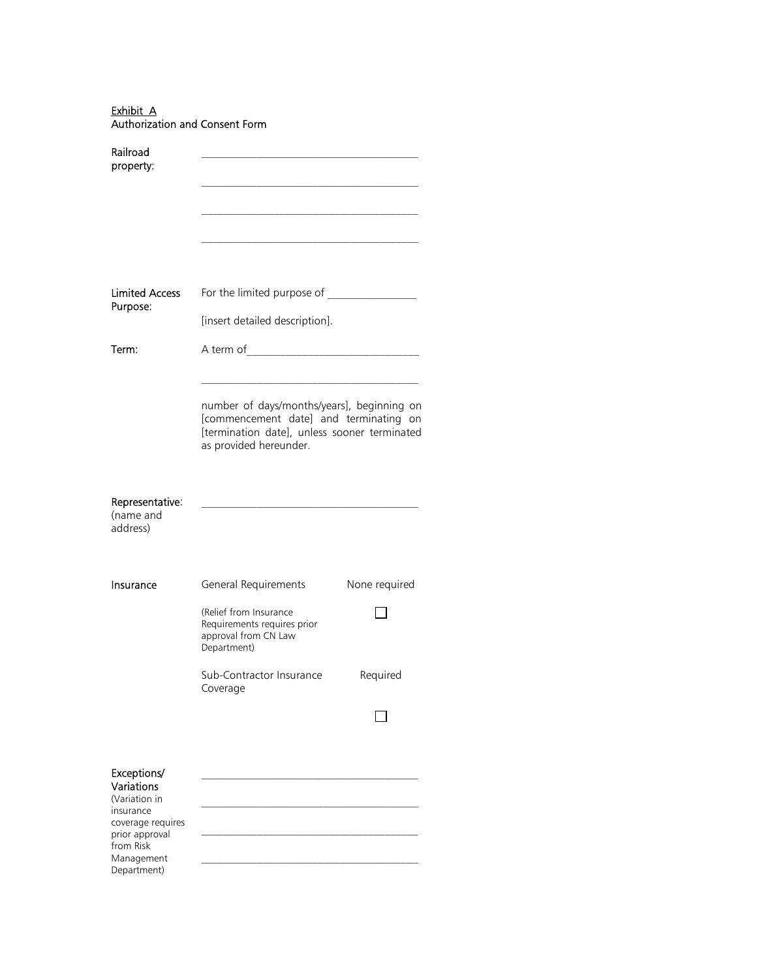Exhibit A Authorization and Consent Form

| Railroad<br>property:                                                                                                                    |                                                                                                                                                                |               |
|------------------------------------------------------------------------------------------------------------------------------------------|----------------------------------------------------------------------------------------------------------------------------------------------------------------|---------------|
| <b>Limited Access</b><br>Purpose:                                                                                                        | [insert detailed description].                                                                                                                                 |               |
| Term:                                                                                                                                    |                                                                                                                                                                |               |
|                                                                                                                                          | number of days/months/years], beginning on<br>[commencement date] and terminating on<br>[termination date], unless sooner terminated<br>as provided hereunder. |               |
| Representative:<br>(name and<br>address)                                                                                                 |                                                                                                                                                                |               |
| Insurance                                                                                                                                | General Requirements<br>(Relief from Insurance<br>Requirements requires prior<br>approval from CN Law<br>Department)                                           | None required |
|                                                                                                                                          | Sub-Contractor Insurance<br>Coverage                                                                                                                           | Required      |
|                                                                                                                                          |                                                                                                                                                                |               |
| Exceptions/<br>Variations<br>(Variation in<br>insurance<br>coverage requires<br>prior approval<br>from Risk<br>Management<br>Department) |                                                                                                                                                                |               |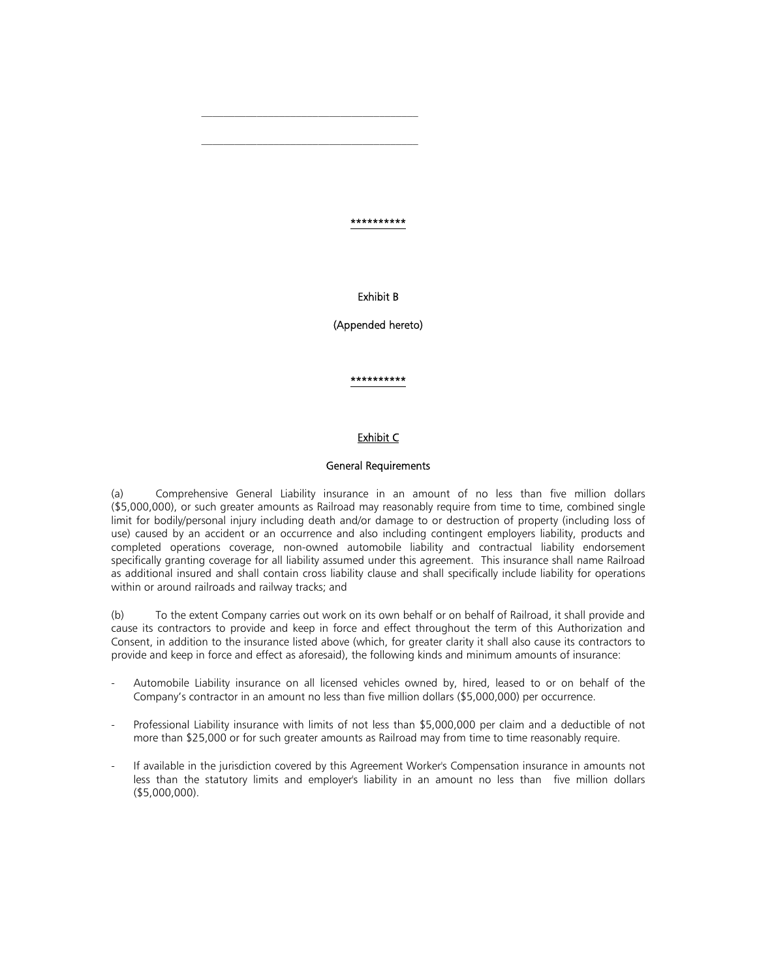\*\*\*\*\*\*\*\*\*\*

Exhibit B

(Appended hereto)

\*\*\*\*\*\*\*\*\*\*

## Exhibit C

### General Requirements

(a) Comprehensive General Liability insurance in an amount of no less than five million dollars (\$5,000,000), or such greater amounts as Railroad may reasonably require from time to time, combined single limit for bodily/personal injury including death and/or damage to or destruction of property (including loss of use) caused by an accident or an occurrence and also including contingent employers liability, products and completed operations coverage, non-owned automobile liability and contractual liability endorsement specifically granting coverage for all liability assumed under this agreement. This insurance shall name Railroad as additional insured and shall contain cross liability clause and shall specifically include liability for operations within or around railroads and railway tracks; and

(b) To the extent Company carries out work on its own behalf or on behalf of Railroad, it shall provide and cause its contractors to provide and keep in force and effect throughout the term of this Authorization and Consent, in addition to the insurance listed above (which, for greater clarity it shall also cause its contractors to provide and keep in force and effect as aforesaid), the following kinds and minimum amounts of insurance:

- Automobile Liability insurance on all licensed vehicles owned by, hired, leased to or on behalf of the Company's contractor in an amount no less than five million dollars (\$5,000,000) per occurrence.
- Professional Liability insurance with limits of not less than \$5,000,000 per claim and a deductible of not more than \$25,000 or for such greater amounts as Railroad may from time to time reasonably require.
- If available in the jurisdiction covered by this Agreement Worker's Compensation insurance in amounts not less than the statutory limits and employer's liability in an amount no less than five million dollars (\$5,000,000).